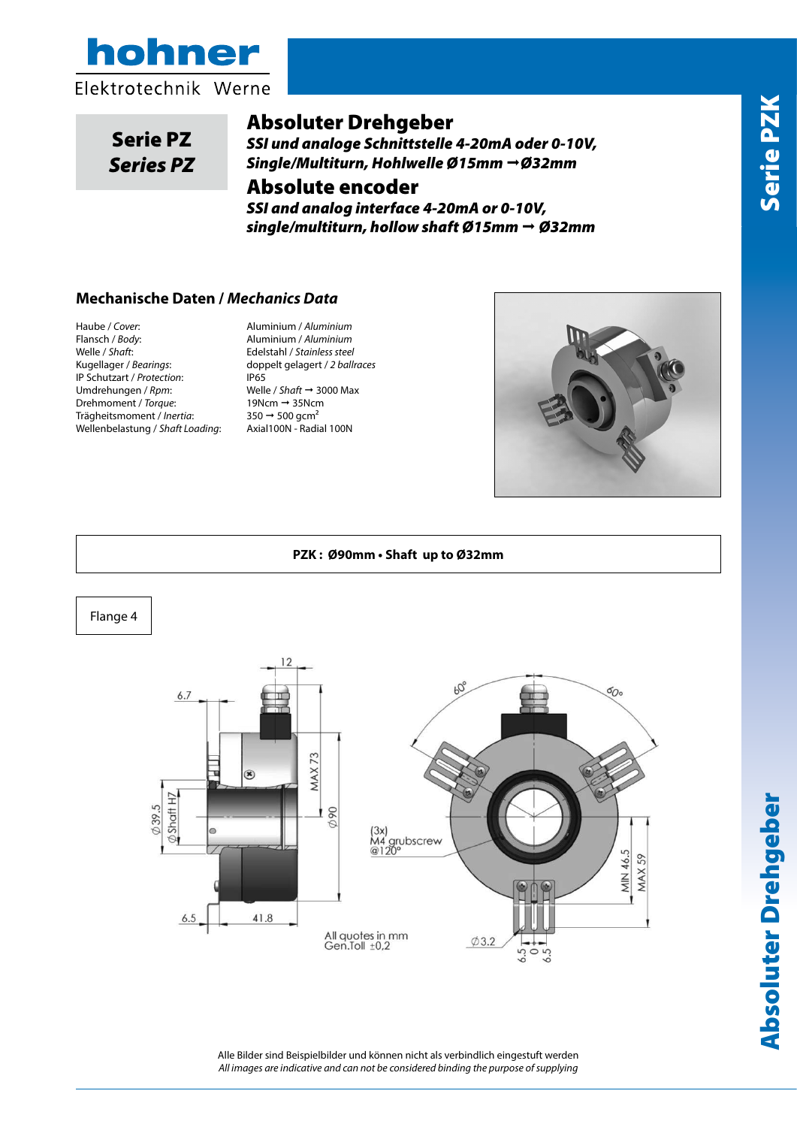



## Serie PZ *Series PZ* rie PZ<br>*ies PZ*

#### Absoluter Drehgeber Encoder Assoluto Singolo/Multi giro SSI e Analogico 4-20mA e

*SSI und analoge Schnittstelle 4-20mA oder 0-10V,* 0-10V albero passante ø15mm→ø32mm *Single/Multiturn, Hohlwelle Ø15mm Ø32mm SSI and Analog Single/Multi turn hollow shaft encoder*

# Absolute encoder *Ø15mm* → *ø32mm*

*SSI and analog interface 4-20mA or 0-10V, Up 38 bit : Single Turn Max 20 bit – Multi Turn Max 18 bit single/multiturn, hollow shaft Ø15mm Ø32mm*

# **Mechanische Daten /** *Mechanics Data* **Dati Meccanici** */ Mechanics Data*

Haube / *Cover*: Aluminium / *Aluminium* **Custodia /** *Cover* **:** Alluminio / *Aluminium* Flansch / *Body*: Aluminium / *Aluminium* **Flangia /** *Body* **:** Alluminio / *Aluminium* Welle / *Shaft*: Edelstahl / *Stainless steel* Kugellager / *Bearings*: doppelt gelagert / *2 ballraces* **Albero /** *Shaft* **:** Acciaio INOX / *Stainless steel* IP Schutzart / *Protection*: IP65 **Cuscinetti /** *Bearings* **:** 2 a sfere / *2 ballraces* Drehmoment / *Torque*: 19Ncm → 35Ncm<br>Trägheitsmoment / *Inertia*: 350 → 500 gcm<sup>2</sup> Trägheitsmoment / *Inertia*: 350 → 500 gcm<sup>2</sup><br>Wellanbelsstung / Shaft Laading: 19Ncm=1900 L. Dadi Wellenbelastung / *Shaft Loading*: Axial100N - Radial 100N **Momento inerzia /** *Inertia:* 350→500 gcm² **Umdrehungen** / *Rpm*:

Rev 0

Welle / Shaft → 3000 Max **19Ncm → 35Ncm** 



#### PZK\*: ø90mm · Shaft up to ø32mm **PZK : Ø90mm • Shaft up to Ø32mm**



Absoluter Drehgeber Serie PZK **Absoluter Drehgeber** 

Alle Bilder sind Beispielbilder und können nicht als verbindlich eingestuft werden Nota: Tutte le immagini sono puramente indicative e non possono essere considerate vincolanti ai fini della fornitura *All images are indicative and can not be considered binding the purpose of supplying All images are indicative and can not be considered binding for supplying*